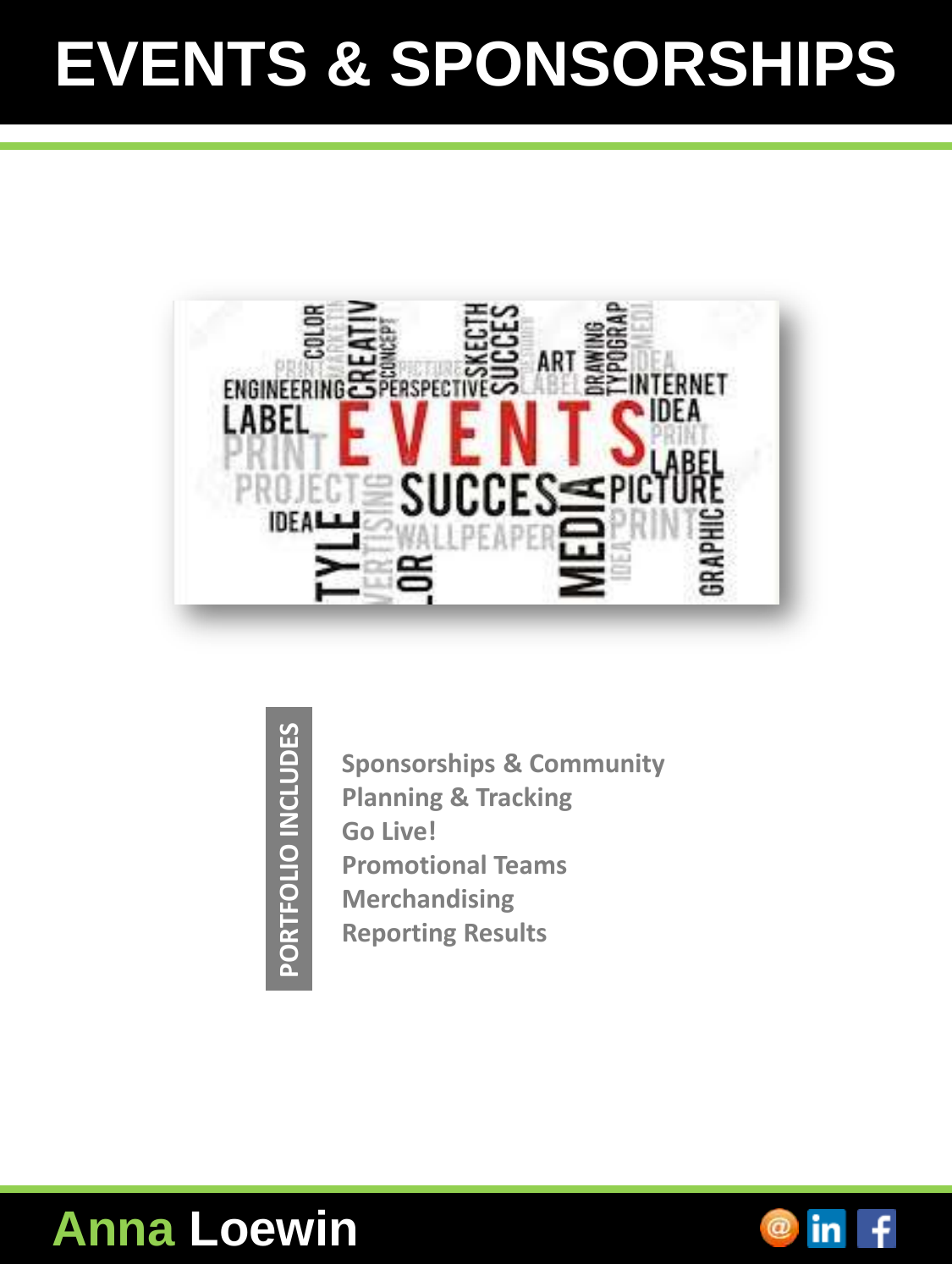## **EVENTS & SPONSORSHIPS**



PORTFOLIO INCLUDES **PORTFOLIO INCLUDES**

**Sponsorships & Community Planning & Tracking Go Live! Promotional Teams Merchandising Reporting Results**



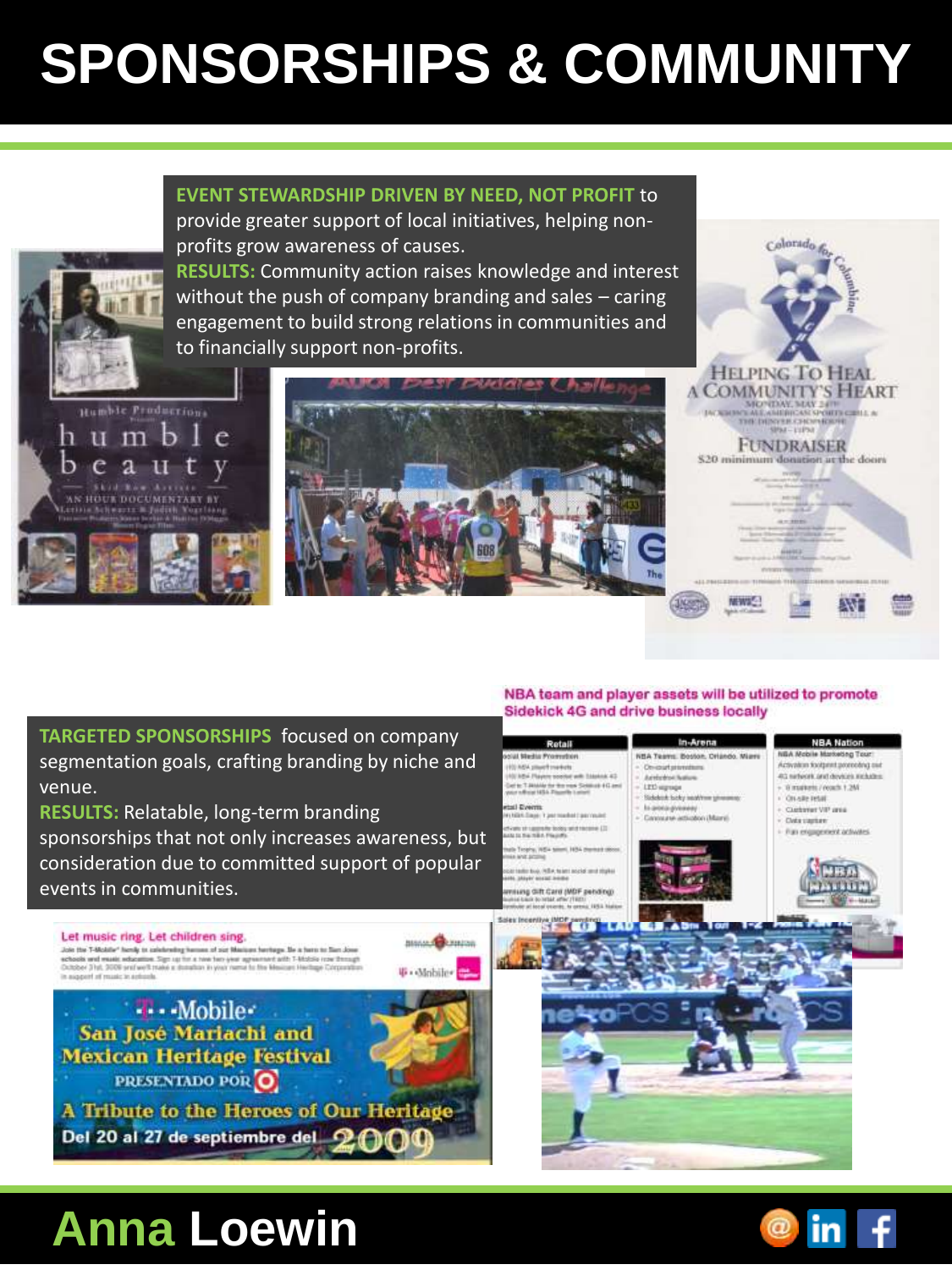## **SPONSORSHIPS & COMMUNITY**

**EVENT STEWARDSHIP DRIVEN BY NEED, NOT PROFIT** to provide greater support of local initiatives, helping nonprofits grow awareness of causes.



**RESULTS:** Community action raises knowledge and interest without the push of company branding and sales – caring engagement to build strong relations in communities and to financially support non-profits.



Let music ring. Let children sing.

Join the T-Molair " hands to calchesting hamas of par Macizan havings. He a harm to fian Jose schools wed meast advantue. Sign up for a twee face your agreement artif. T-Modia rose through<br>Dutcher (Fist, 9006 and well make a stundian in your name for the Mexican Hertinge Corporation

-Mobile-San José Mariachi and **Méxican Heritage Festival** PRESENTADO POR O



**Bistan Character** 

**F** + Mabile +

**HELPING TO HEAL A COMMUNITY'S HEART** NO TOWERS SPORT CELL A THE DESIGN CONTRACT OF THE RESIDENCE OF A SPACE CHEMICAL SPACE CONTRACT OF A SPACE CHEMICAL SPACE COMPANY **FUNDRAISER** \$20 minimum donation at the doors

Colorado fo

**TARGETED SPONSORSHIPS** focused on company segmentation goals, crafting branding by niche and venue.

**RESULTS:** Relatable, long-term branding sponsorships that not only increases awareness, but consideration due to committed support of popular events in communities.

A Tribute to the Heroes of Our Heritage

#### NBA team and player assets will be utilized to promote Sidekick 4G and drive business locally

**TENNIA** 





Del 20 al 27 de septiembre del 9

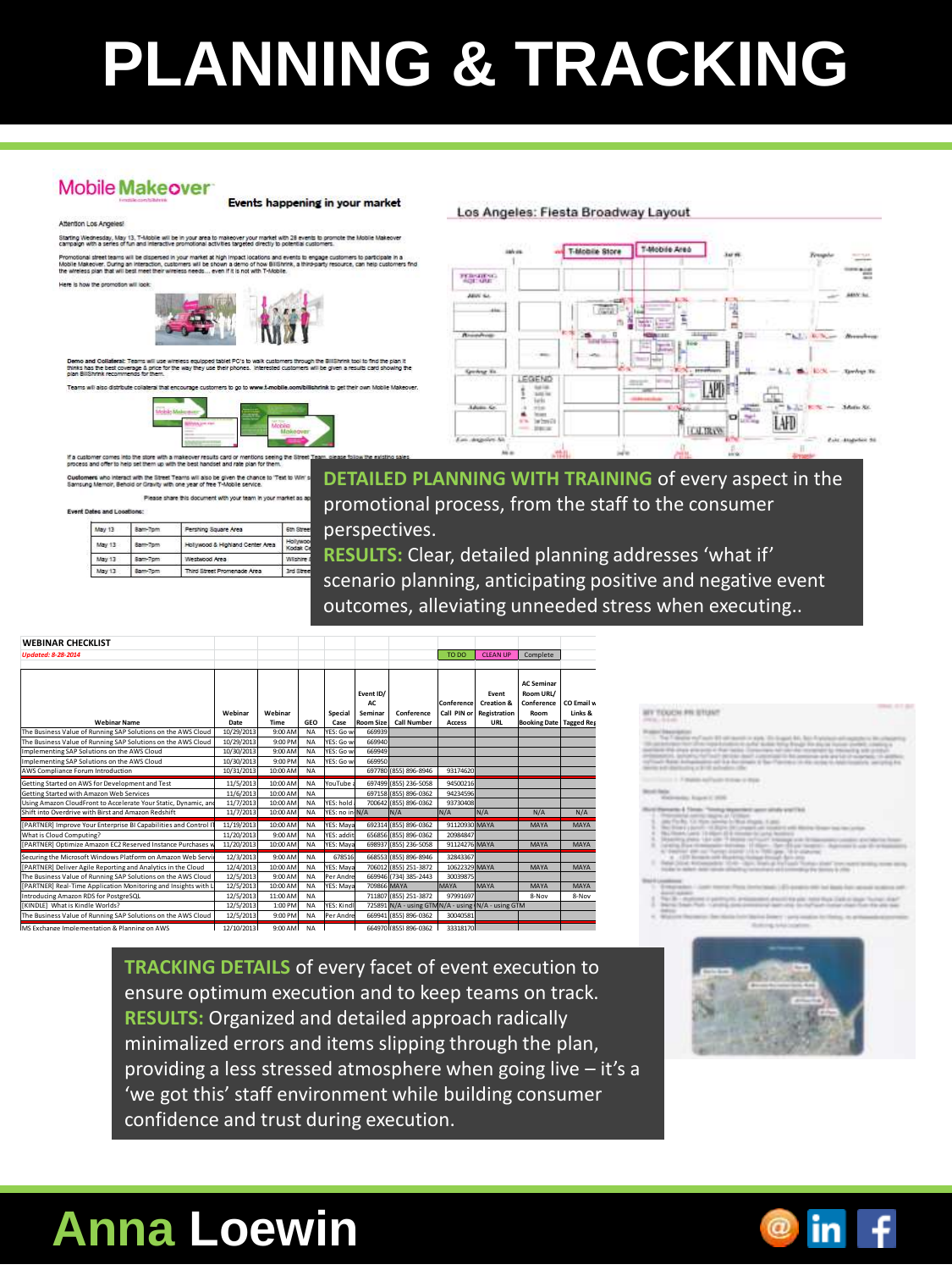# **PLANNING & TRACKING**

#### **Mobile Makeover**

#### Attention Los Angeles!

Events happening in your market

.<br>Starting Wednesday, May 13, T-Mobile will be in your area to makeover your market with 28 events to promote the Mobile Make<br>campaign with a series of fun and interactive promotional activities targeted directly to potent

gh impact locations and events to engage customers to participal<br>wn a demo of how BillShrink, a third-party resource, can help cus Vobile Makeover, During an Interaction, customers will be sho<br>he interaction to the first will have made that winning made and



Demo and Consterar: Teams will<br>thinks has the best coverage & pri

ms will also distribute collateral that e



If a customer comes into the store with a makeover results card or n<br>process and offer to help set them up with the best handset and rate

es who interact with the Street Teams will also be given the chance to 'Text to Wir<br>; Memoir, Behold or Gravity with one year of free T-Mobile service.

|  | Event Dates and Locations: |  |
|--|----------------------------|--|

| мана апо поминять: |         |                                  |                      |
|--------------------|---------|----------------------------------|----------------------|
| May 13             | 8am-7pm | Pershing Square Area             | 6th Street           |
| May 13             | Sam-Tom | Hollywood & Highland Center Area | Hollywoo<br>Kodak Ci |
| May 13             | Sam-7pm | Westwood Area                    | Wisher.              |
| May 13             | 8am-7pm | Third Street Promenade Area      | 3rd Street           |

Please share this document with your team in your

**DETAILED PLANNING WITH TRAINING** of every aspect in the promotional process, from the staff to the consumer perspectives.

Los Angeles: Fiesta Broadway Layout

**RESULTS:** Clear, detailed planning addresses 'what if' scenario planning, anticipating positive and negative event outcomes, alleviating unneeded stress when executing..

Using Amazon CloudFront to Protect Your Content Delivery via Geo-Restriction, Private Content, and Custom SSL Certificates 2/4/2014 10:00 AM NA YES: will use Go To Webinar since new platform will not meet timing needs (Vijayaraghavan, Venkat) 105-942-539 (702) 489-0003 824-147-737 https://attendee.gotowebinar.com/register/4139542886387230465 2-Jan 2-Jan https://na3.salesforce.com/70150000000t6ll 4-Feb 4-Feb N/A w/ GTW 4-Feb http://youtu.be/tpdlVrliMf0 5-Feb http://www.slideshare.net/AmazonWebServices/cloud-front-security-webinar-v2 6-Feb 4-Feb 4-Feb 7-Feb

Amazon RDS for MySQL: Migration and Best Practices 2/25/2014 11:00 AM NA 105-510-027(415) 655-0061 748-946-803 https://attendee.gotowebinar.com/register/6212394984776388866 4-Feb 5-Feb https://na3.salesforce.com/70150000000tGjg 25-Feb 25-Feb N/A w/ GTW 25-Feb http://youtu.be/TT1M\_XRAlQo 26-Feb http://www.slideshare.net/AmazonWebServices/aws-webcast-31636793 26-Feb 25-Feb 25-Feb 28-Feb ,我们也不会有一个人的事情。""我们的事情,我们也不会有一个人的事情。""我们的事情,我们的事情,我们的事情,我们的事情,我们的事情,我们的事情,我们的事情,我<br>第一百一十一章 我们的事情,我们的事情,我们的事情,我们的事情,我们的事情,我们的事情,我们的事情,我们的事情,我们的事情,我们的事情,我们的事情,我们的事情,

| <b>WEBINAR CHECKLIST</b>                                         |            |             |           |                 |                |                                                     |               |                                                   |                                |                       |
|------------------------------------------------------------------|------------|-------------|-----------|-----------------|----------------|-----------------------------------------------------|---------------|---------------------------------------------------|--------------------------------|-----------------------|
| <b>Updated: 8-28-2014</b>                                        |            |             |           |                 |                |                                                     | TO DO         |                                                   | CLEAN UP Complete              |                       |
|                                                                  |            |             |           |                 |                |                                                     |               |                                                   |                                |                       |
|                                                                  |            |             |           |                 |                |                                                     |               |                                                   | <b>AC Seminar</b>              |                       |
|                                                                  |            |             |           |                 | Event ID/      |                                                     |               | Event                                             | Room URL/                      |                       |
|                                                                  | Webinar    | Webinar     |           |                 | AC.<br>Seminar | Conference                                          |               | Conference Creation &<br>Call PIN or Registration | Conference<br>Room             | CO Email w<br>Links & |
| <b>Webinar Name</b>                                              | Date       | Time        | GEO       | Special<br>Case |                | Room Size Call Number                               | Access        | URL                                               | <b>Booking Date Tagged Reg</b> |                       |
| The Business Value of Running SAP Solutions on the AWS Cloud     | 10/29/2013 | 9:00 AM     | NA        | YES: Go wi      | 669939         |                                                     |               |                                                   |                                |                       |
| The Business Value of Running SAP Solutions on the AWS Cloud     | 10/29/201  | 9:00 PM     | <b>NA</b> | YES: Go w       | 669940         |                                                     |               |                                                   |                                |                       |
| Implementing SAP Solutions on the AWS Cloud                      | 10/30/201  | 9:00 AM     | <b>NA</b> | YES: Go y       | 669949         |                                                     |               |                                                   |                                |                       |
| Implementing SAP Solutions on the AWS Cloud                      | 10/30/201  | 9:00 PM     | <b>NA</b> | YES: Go wi      | 669950         |                                                     |               |                                                   |                                |                       |
| AWS Compliance Forum Introduction                                | 10/31/2013 | 10:00 AM    | <b>NA</b> |                 |                | 697780 (855) 896-8946                               | 93174620      |                                                   |                                |                       |
| Getting Started on AWS for Development and Test                  | 11/5/2013  | 10:00 AM    | <b>NA</b> | YouTube         |                | 697499 (855) 236-5058                               | 94500216      |                                                   |                                |                       |
| Getting Started with Amazon Web Services                         | 11/6/201   | 10:00 AM    | <b>NA</b> |                 |                | 697158 (855) 896-0362                               | 94234596      |                                                   |                                |                       |
| Using Amazon CloudFront to Accelerate Your Static, Dynamic, and  | 11/7/201   | 10:00 AM    | <b>NA</b> | YES: hold       |                | 700642 (855) 896-0362                               | 93730408      |                                                   |                                |                       |
| Shift into Overdrive with Birst and Amazon Redshift              | 11/7/201   | 10:00 AM    | <b>NA</b> | YES: no in N/A  |                | N/A                                                 | N/A           | N/A                                               | N/A                            | N/A                   |
| [PARTNER] Improve Your Enterprise BI Capabilities and Control IT | 11/19/201  | 10:00 AM    | <b>NA</b> | YFS: Maya       |                | 692314 (855) 896-0362                               | 91120930 MAYA |                                                   | MAYA                           | MAYA                  |
| What is Cloud Computing?                                         | 11/20/2013 | 9:00 AM NA  |           | YES: additi     |                | 656856 (855) 896-0362                               | 20984847      |                                                   |                                |                       |
| [PARTNER] Optimize Amazon EC2 Reserved Instance Purchases w      | 11/20/201  | 10:00 AM NA |           | YES: Maya       |                | 698937 (855) 236-5058                               | 91124276 MAYA |                                                   | MAYA                           | MAYA                  |
| Securing the Microsoft Windows Platform on Amazon Web Servio     | 12/3/2013  | 9:00 AM     | <b>NA</b> | 678516          |                | 668553 (855) 896-8946                               | 32843367      |                                                   |                                |                       |
| [PARTNER] Deliver Agile Reporting and Analytics in the Cloud     | 12/4/201   | 10:00 AM NA |           | YES: Mava       |                | 706012 (855) 251-3872                               | 10622329 MAYA |                                                   | MAYA                           | MAYA                  |
| The Business Value of Running SAP Solutions on the AWS Cloud     | 12/5/2013  | 9:00 AM     | NA        | Per Andre       |                | 669946 (734) 385-2443                               | 30039875      |                                                   |                                |                       |
| [PARTNER] Real-Time Application Monitoring and Insights with L   | 12/5/201   | 10:00 AM    | <b>NA</b> | YES: Mava       |                | 709866 MAYA                                         | <b>MAYA</b>   | MAYA                                              | MAYA                           | MAYA                  |
| Introducing Amazon RDS for PostgreSQL                            | 12/5/2013  | 11:00 AM    | <b>NA</b> |                 |                | 711807 (855) 251-3872                               | 97991697      |                                                   | 8-Nov                          | 8-Nov                 |
| [KINDLE] What is Kindle Worlds?                                  | 12/5/201   | 1:00 PM     | <b>NA</b> | YES: Kindl      |                | 725891 N/A - using GTM N/A - using (N/A - using GTM |               |                                                   |                                |                       |
| The Business Value of Running SAP Solutions on the AWS Cloud     | 12/5/2013  | 9:00 PM NA  |           | Per Andre       |                | 669941 (855) 896-0362                               | 30040581      |                                                   |                                |                       |
| MS Exchange Implementation & Planning on AWS                     | 12/10/2013 | 9:00 AM NA  |           |                 |                | 664970 (855) 896-0362                               | 33318170      |                                                   |                                |                       |
|                                                                  |            |             |           |                 |                |                                                     |               |                                                   |                                |                       |

#### *SEY TOUCH FR STUAT*

- 
- 
- 
- 
- 

的,我们也不会不会不会不会不会不会不会不会不会不会不会不会不会不会不会不会。""我们的是我们的,我们也不会不会不会不会不会不会不会不会不会不会不会不会不会不会。"

**TRACKING DETAILS of every facet of event execution to** and the company of the company of the company of the company of the company of the company of the company of the company of the company of the company of the company of the company of the company of the company of the comp **Example 18 and 18 and 18 and 18 and 18 and 18 and 18 and 18 and 18 and 18 and 18 and 18 and 18 and 18 and 18 and 18 and 18 and 18 and 18 and 18 and 18 and 18 and 18 and 18 and 18 and 18 and 18 and 18 and 18 and 18 and 18 EXAMPLE IS A RESULTS:** Organized and detailed approach radically and the state of the state of the state of the state of the state of the state of the state of the state of the state of the state of the state of the state and the contract of the contract of the contract of the contract of the contract of the contract of the contract of the contract of the contract of the contract of the contract of the contract of the contract of the contra a minimalized errors and items slipping through the plan, and the state of the state of the state of the state o providing a less stressed atmosphere when going live  $-$  it's a 'we got this' staff environment while building consumer confidence and trust during execution. The contract of the contract of the contract of the contract of the contract of the contract of the contract of the contract of the contract of the contract of the contract of the con

## Anna Loewin and the line of the function of the same of the same of the same of the same of the same of the same of the same of the same of the same of the same of the same of the same of the same of the same of the same o



T-Mobile Area T-Mobile Store Ħ FEBRUARYA **Grown In** LEGENO **LAPDE** 1 1.AFD **TELEN**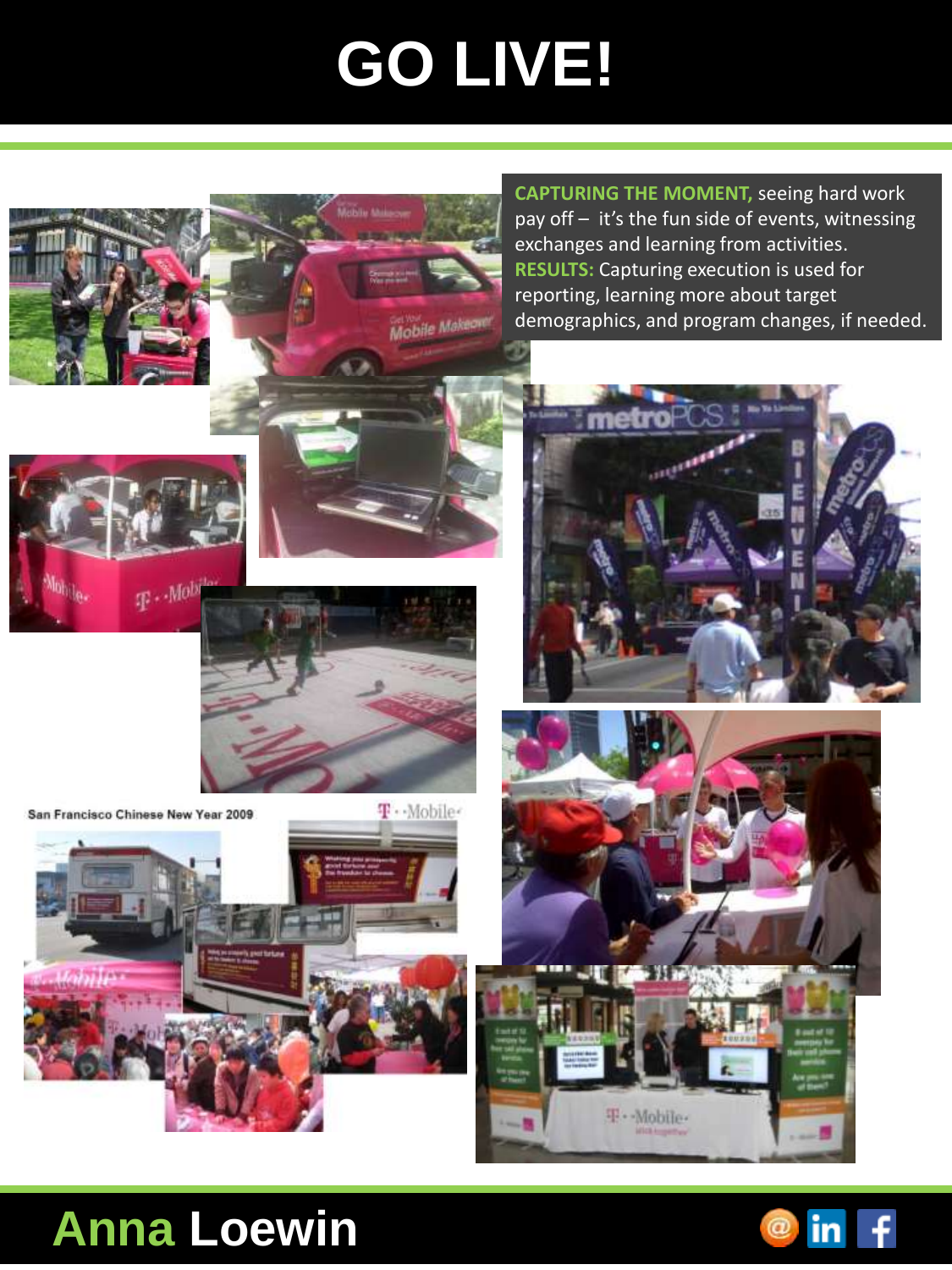## **GO LIVE!**

Mobile Makegyer

**CAPTURING THE MOMENT,** seeing hard work pay off – it's the fun side of events, witnessing exchanges and learning from activities. **RESULTS:** Capturing execution is used for reporting, learning more about target demographics, and program changes, if needed.







San Francisco Chinese New Year 2009









## **Anna Loewin**

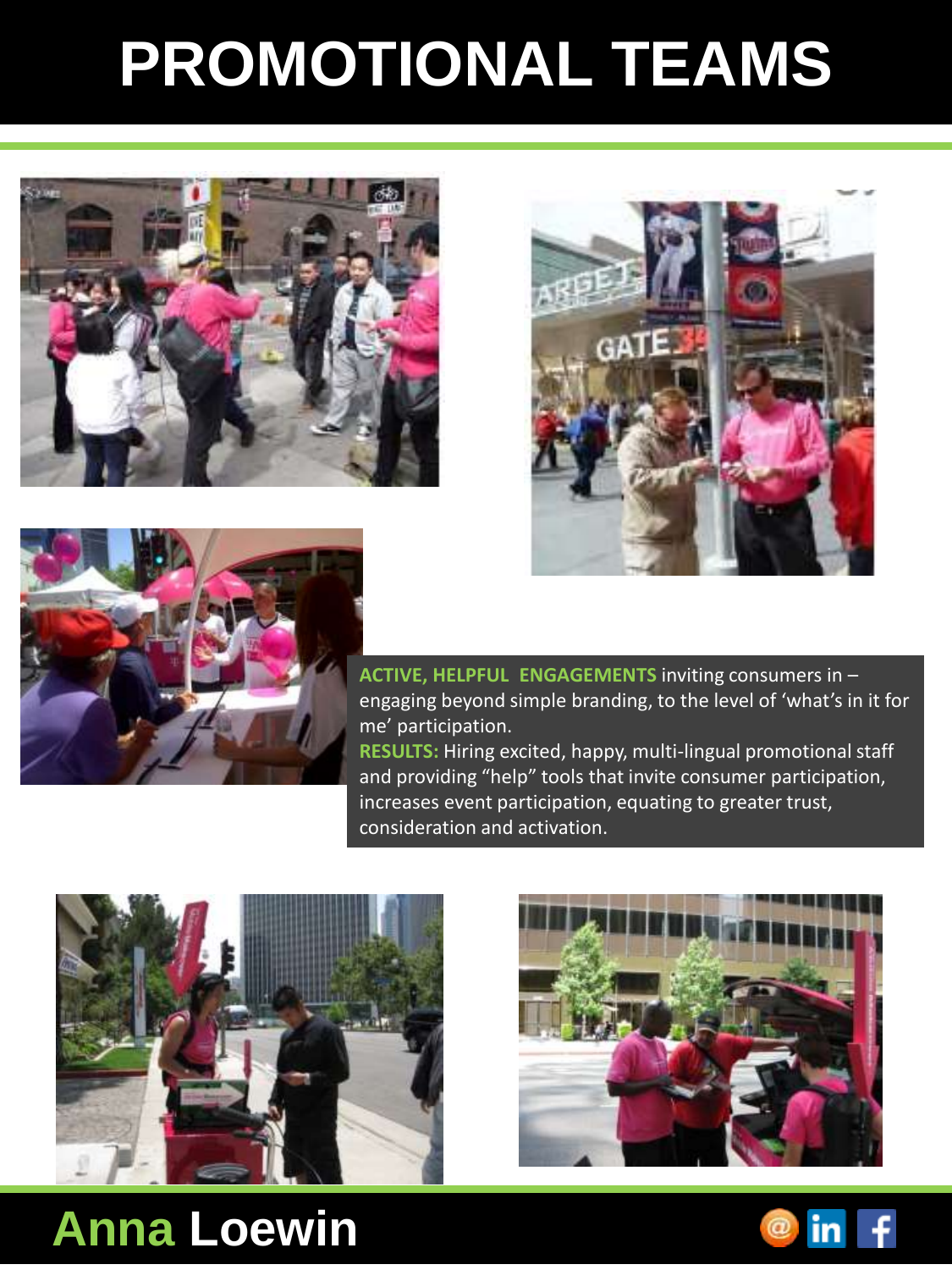## **PROMOTIONAL TEAMS**







**ACTIVE, HELPFUL ENGAGEMENTS** inviting consumers in – engaging beyond simple branding, to the level of 'what's in it for me' participation.

**RESULTS:** Hiring excited, happy, multi-lingual promotional staff and providing "help" tools that invite consumer participation, increases event participation, equating to greater trust, consideration and activation.





### **Anna Loewin**

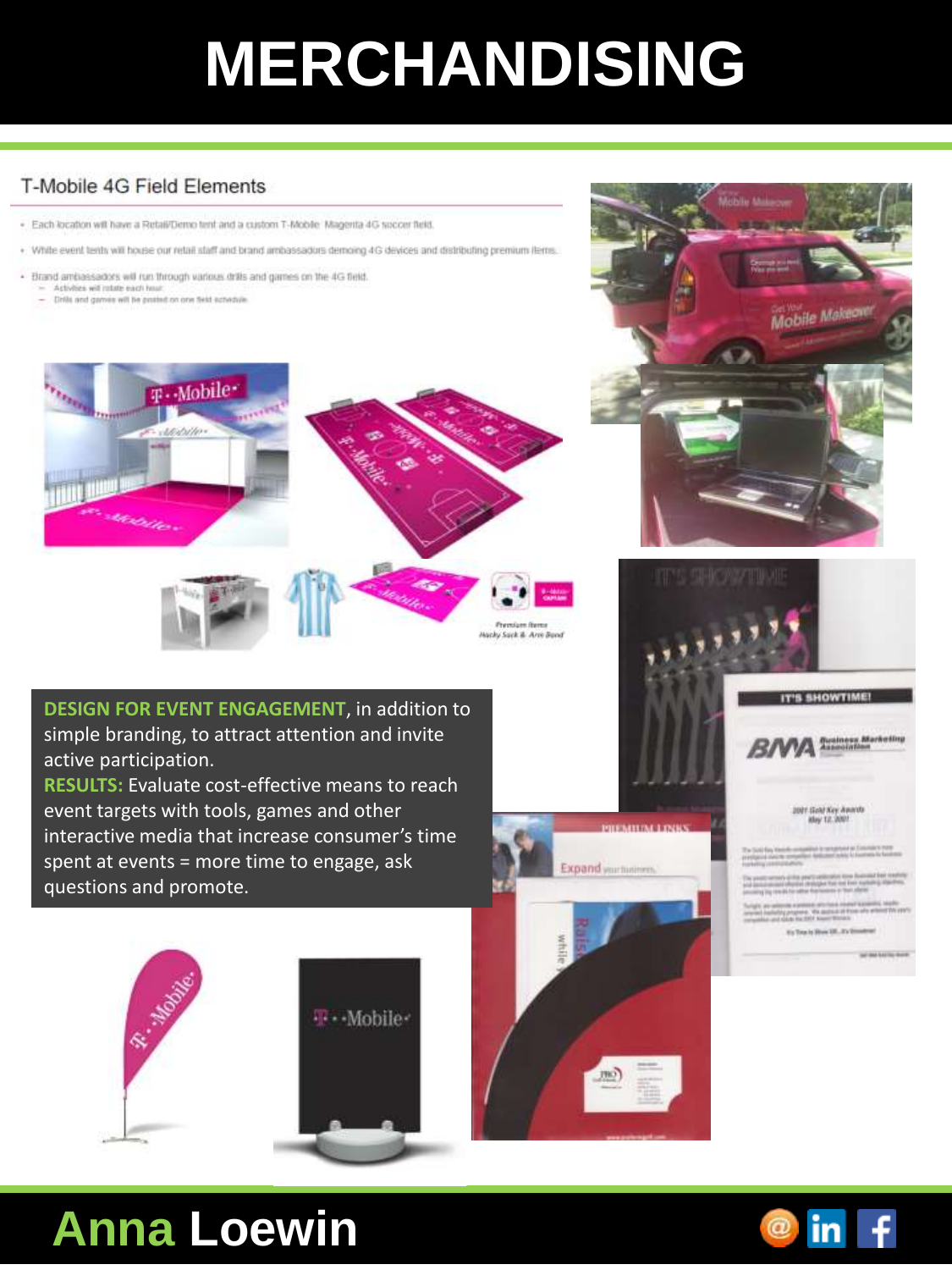## **MERCHANDISING**

#### T-Mobile 4G Field Flements

- . Each location will have a Retail/Demo tent and a custom T-Mobile Magenta 4G succer field.
- . White event tents will house our retail staff and brand archassadors demoing 4G devices and distributing premium items.
- . Brand ambassadors will run through various drills and games on the 4G field. Activities will robite each hour
	- Drifts and games will be protect on one field schedule.



**DESIGN FOR EVENT ENGAGEMENT**, in addition to simple branding, to attract attention and invite active participation.

**RESULTS:** Evaluate cost-effective means to reach event targets with tools, games and other interactive media that increase consumer's time spent at events = more time to engage, ask questions and promote.





### **Anna Loewin**



May 12, 2001

Mobile Makeov